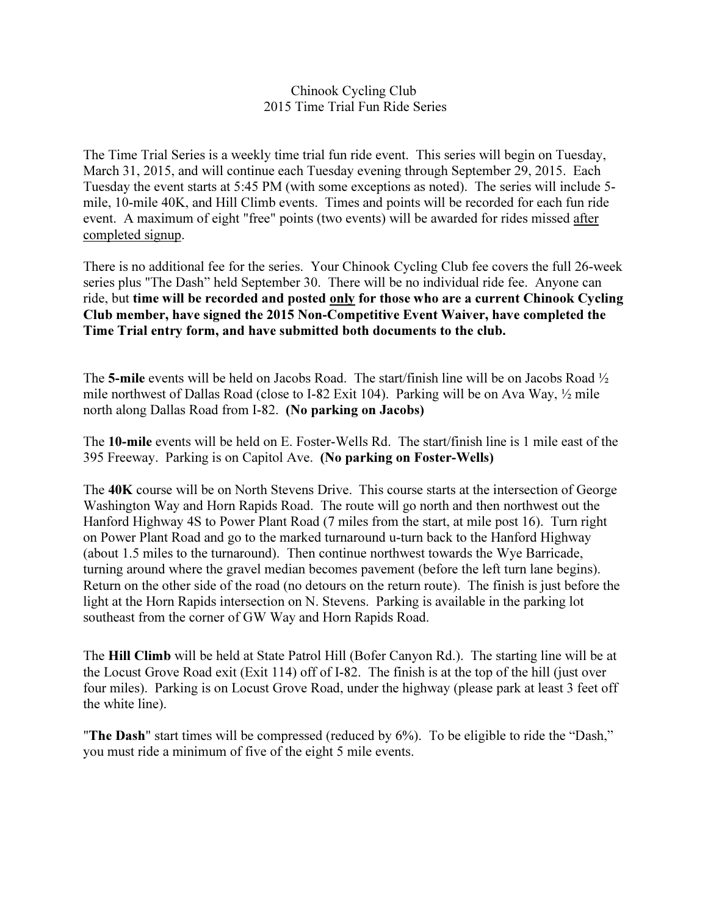## Chinook Cycling Club 2015 Time Trial Fun Ride Series

The Time Trial Series is a weekly time trial fun ride event. This series will begin on Tuesday, March 31, 2015, and will continue each Tuesday evening through September 29, 2015. Each Tuesday the event starts at 5:45 PM (with some exceptions as noted). The series will include 5 mile, 10-mile 40K, and Hill Climb events. Times and points will be recorded for each fun ride event. A maximum of eight "free" points (two events) will be awarded for rides missed after completed signup.

There is no additional fee for the series. Your Chinook Cycling Club fee covers the full 26-week series plus "The Dash" held September 30. There will be no individual ride fee. Anyone can ride, but time will be recorded and posted only for those who are a current Chinook Cycling Club member, have signed the 2015 Non-Competitive Event Waiver, have completed the Time Trial entry form, and have submitted both documents to the club.

The 5-mile events will be held on Jacobs Road. The start/finish line will be on Jacobs Road  $\frac{1}{2}$ mile northwest of Dallas Road (close to I-82 Exit 104). Parking will be on Ava Way, ½ mile north along Dallas Road from I-82. (No parking on Jacobs)

The 10-mile events will be held on E. Foster-Wells Rd. The start/finish line is 1 mile east of the 395 Freeway. Parking is on Capitol Ave. (No parking on Foster-Wells)

The 40K course will be on North Stevens Drive. This course starts at the intersection of George Washington Way and Horn Rapids Road. The route will go north and then northwest out the Hanford Highway 4S to Power Plant Road (7 miles from the start, at mile post 16). Turn right on Power Plant Road and go to the marked turnaround u-turn back to the Hanford Highway (about 1.5 miles to the turnaround). Then continue northwest towards the Wye Barricade, turning around where the gravel median becomes pavement (before the left turn lane begins). Return on the other side of the road (no detours on the return route). The finish is just before the light at the Horn Rapids intersection on N. Stevens. Parking is available in the parking lot southeast from the corner of GW Way and Horn Rapids Road.

The Hill Climb will be held at State Patrol Hill (Bofer Canyon Rd.). The starting line will be at the Locust Grove Road exit (Exit 114) off of I-82. The finish is at the top of the hill (just over four miles). Parking is on Locust Grove Road, under the highway (please park at least 3 feet off the white line).

"The Dash" start times will be compressed (reduced by 6%). To be eligible to ride the "Dash," you must ride a minimum of five of the eight 5 mile events.